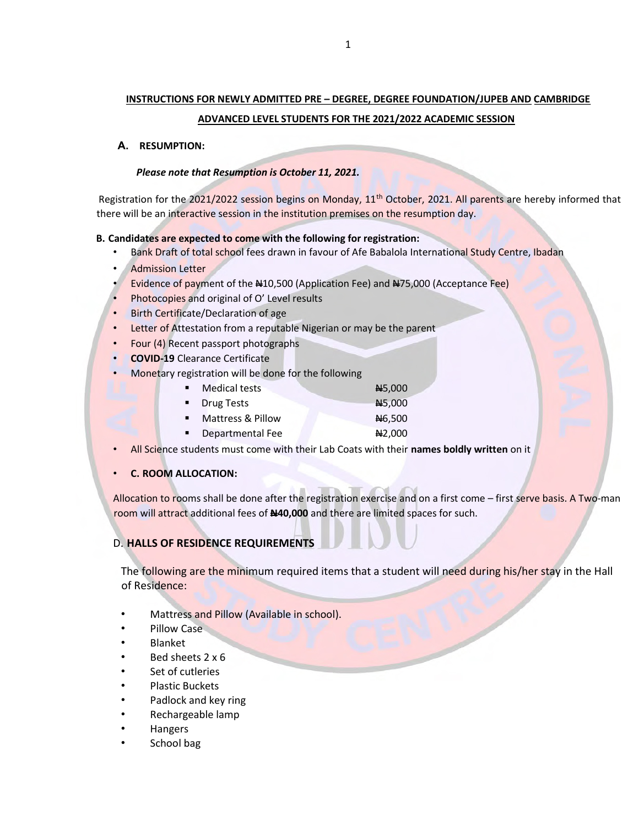# INSTRUCTIONS FOR NEWLY ADMITTED PRE – DEGREE, DEGREE FOUNDATION/JUPEB AND CAMBRIDGE

#### ADVANCED LEVEL STUDENTS FOR THE 2021/2022 ACADEMIC SESSION

#### A. RESUMPTION:

#### Please note that Resumption is October 11, 2021.

Registration for the 2021/2022 session begins on Monday,  $11<sup>th</sup>$  October, 2021. All parents are hereby informed that there will be an interactive session in the institution premises on the resumption day.

#### B. Candidates are expected to come with the following for registration:

- Bank Draft of total school fees drawn in favour of Afe Babalola International Study Centre, Ibadan
- **Admission Letter**
- Evidence of payment of the #10,500 (Application Fee) and #75,000 (Acceptance Fee)
- Photocopies and original of O' Level results
- **Birth Certificate/Declaration of age**
- Letter of Attestation from a reputable Nigerian or may be the parent
- Four (4) Recent passport photographs
- COVID-19 Clearance Certificate
- Monetary registration will be done for the following

|    | <b>Medical tests</b>         | <b>N</b> 5,000 |
|----|------------------------------|----------------|
|    | • Drug Tests                 | AH5,000        |
| п. | <b>Mattress &amp; Pillow</b> | <b>N</b> 6,500 |
| ٠  | Departmental Fee             | 42,000         |

• All Science students must come with their Lab Coats with their names boldly written on it

#### • C. ROOM ALLOCATION:

Allocation to rooms shall be done after the registration exercise and on a first come – first serve basis. A Two-man room will attract additional fees of N40,000 and there are limited spaces for such.

### D. HALLS OF RESIDENCE REQUIREMENTS

The following are the minimum required items that a student will need during his/her stay in the Hall of Residence:

- Mattress and Pillow (Available in school).
- Pillow Case
- Blanket
- Bed sheets 2 x 6
- Set of cutleries
- Plastic Buckets
- Padlock and key ring
- Rechargeable lamp
- Hangers
- School bag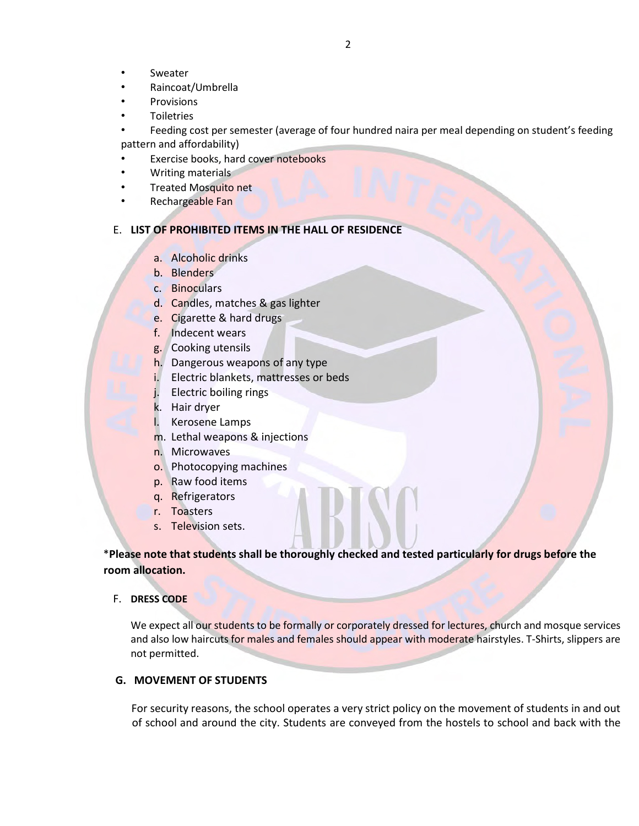- **Sweater**
- Raincoat/Umbrella
- **Provisions**
- **Toiletries**

• Feeding cost per semester (average of four hundred naira per meal depending on student's feeding pattern and affordability)

- Exercise books, hard cover notebooks
- Writing materials
- Treated Mosquito net
- Rechargeable Fan

#### E. LIST OF PROHIBITED ITEMS IN THE HALL OF RESIDENCE

- a. Alcoholic drinks
- b. Blenders
- c. Binoculars
- d. Candles, matches & gas lighter
- e. Cigarette & hard drugs
- f. Indecent wears
- g. Cooking utensils
- h. Dangerous weapons of any type
- i. Electric blankets, mattresses or beds
- j. Electric boiling rings
- k. Hair dryer
- l. Kerosene Lamps
- m. Lethal weapons & injections
- n. Microwaves
- o. Photocopying machines
- p. Raw food items
- q. Refrigerators
- r. Toasters
- s. Television sets.

\*Please note that students shall be thoroughly checked and tested particularly for drugs before the room allocation.

#### F. DRESS CODE

We expect all our students to be formally or corporately dressed for lectures, church and mosque services and also low haircuts for males and females should appear with moderate hairstyles. T-Shirts, slippers are not permitted.

#### G. MOVEMENT OF STUDENTS

For security reasons, the school operates a very strict policy on the movement of students in and out of school and around the city. Students are conveyed from the hostels to school and back with the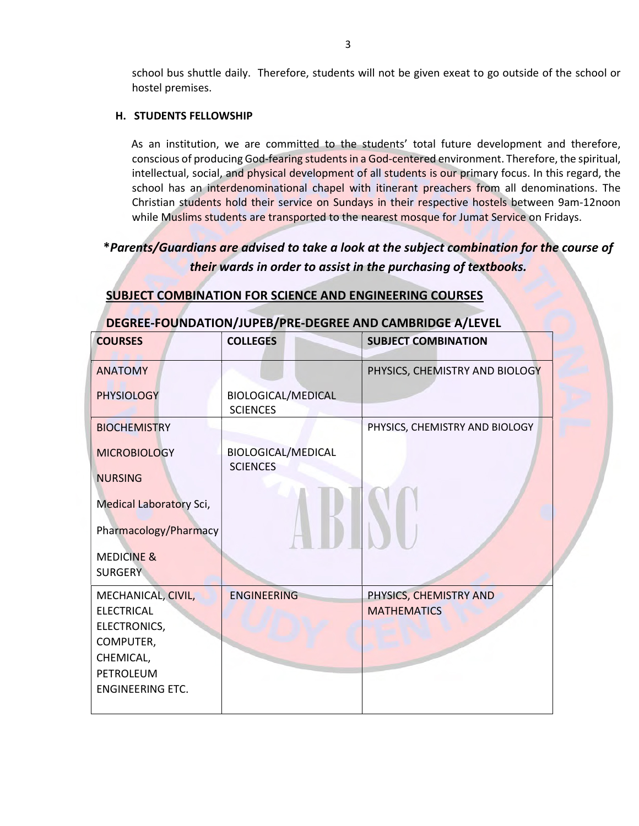school bus shuttle daily. Therefore, students will not be given exeat to go outside of the school or hostel premises.

#### H. STUDENTS FELLOWSHIP

As an institution, we are committed to the students' total future development and therefore, conscious of producing God-fearing students in a God-centered environment. Therefore, the spiritual, intellectual, social, and physical development of all students is our primary focus. In this regard, the school has an interdenominational chapel with itinerant preachers from all denominations. The Christian students hold their service on Sundays in their respective hostels between 9am-12noon while Muslims students are transported to the nearest mosque for Jumat Service on Fridays.

## \*Parents/Guardians are advised to take a look at the subject combination for the course of their wards in order to assist in the purchasing of textbooks.

## SUBJECT COMBINATION FOR SCIENCE AND ENGINEERING COURSES

| DEGREE-FOUNDATION/JUPEB/PRE-DEGREE AND CAMBRIDGE A/LEVEL |                                       |                                |  |  |  |  |
|----------------------------------------------------------|---------------------------------------|--------------------------------|--|--|--|--|
| <b>COURSES</b>                                           | <b>COLLEGES</b>                       | <b>SUBJECT COMBINATION</b>     |  |  |  |  |
| <b>ANATOMY</b>                                           |                                       | PHYSICS, CHEMISTRY AND BIOLOGY |  |  |  |  |
| <b>PHYSIOLOGY</b>                                        | BIOLOGICAL/MEDICAL<br><b>SCIENCES</b> |                                |  |  |  |  |
| <b>BIOCHEMISTRY</b>                                      |                                       | PHYSICS, CHEMISTRY AND BIOLOGY |  |  |  |  |
| <b>MICROBIOLOGY</b>                                      | <b>BIOLOGICAL/MEDICAL</b>             |                                |  |  |  |  |
| <b>NURSING</b>                                           | <b>SCIENCES</b>                       |                                |  |  |  |  |
| <b>Medical Laboratory Sci,</b>                           |                                       |                                |  |  |  |  |
| Pharmacology/Pharmacy                                    |                                       |                                |  |  |  |  |
| <b>MEDICINE &amp;</b>                                    |                                       |                                |  |  |  |  |
| <b>SURGERY</b>                                           |                                       |                                |  |  |  |  |
| MECHANICAL, CIVIL,                                       | <b>ENGINEERING</b>                    | PHYSICS, CHEMISTRY AND         |  |  |  |  |
| <b>ELECTRICAL</b>                                        |                                       | <b>MATHEMATICS</b>             |  |  |  |  |
| ELECTRONICS,                                             |                                       |                                |  |  |  |  |
| COMPUTER,                                                |                                       |                                |  |  |  |  |
| CHEMICAL,                                                |                                       |                                |  |  |  |  |
| <b>PETROLEUM</b><br><b>ENGINEERING ETC.</b>              |                                       |                                |  |  |  |  |
|                                                          |                                       |                                |  |  |  |  |
|                                                          |                                       |                                |  |  |  |  |

### DEGREE-FOUNDATION/JUPEB/PRE-DEGREE AND CAMBRIDGE A/LEVEL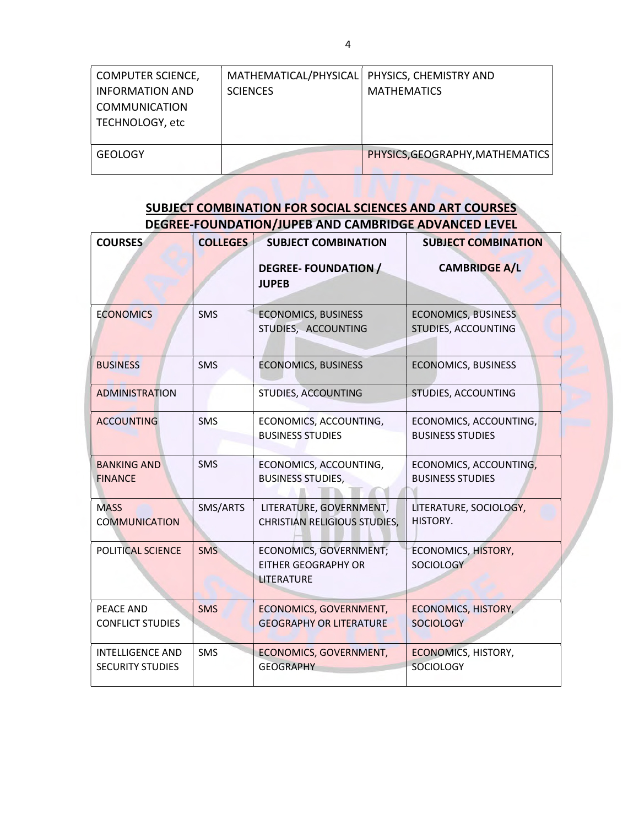| <b>COMPUTER SCIENCE,</b><br><b>INFORMATION AND</b><br><b>COMMUNICATION</b><br>TECHNOLOGY, etc | MATHEMATICAL/PHYSICAL   PHYSICS, CHEMISTRY AND<br><b>SCIENCES</b> | <b>MATHEMATICS</b>              |
|-----------------------------------------------------------------------------------------------|-------------------------------------------------------------------|---------------------------------|
| <b>GEOLOGY</b>                                                                                |                                                                   | PHYSICS, GEOGRAPHY, MATHEMATICS |

## SUBJECT COMBINATION FOR SOCIAL SCIENCES AND ART COURSES DEGREE-FOUNDATION/JUPEB AND CAMBRIDGE ADVANCED LEVEL

| <b>COURSES</b>                                     | <b>COLLEGES</b> | <b>SUBJECT COMBINATION</b>                                         | <b>SUBJECT COMBINATION</b>                        |
|----------------------------------------------------|-----------------|--------------------------------------------------------------------|---------------------------------------------------|
|                                                    |                 | <b>DEGREE-FOUNDATION /</b><br><b>JUPEB</b>                         | <b>CAMBRIDGE A/L</b>                              |
| <b>ECONOMICS</b>                                   | <b>SMS</b>      | <b>ECONOMICS, BUSINESS</b><br>STUDIES, ACCOUNTING                  | <b>ECONOMICS, BUSINESS</b><br>STUDIES, ACCOUNTING |
| <b>BUSINESS</b>                                    | <b>SMS</b>      | <b>ECONOMICS, BUSINESS</b>                                         | <b>ECONOMICS, BUSINESS</b>                        |
| <b>ADMINISTRATION</b>                              |                 | STUDIES, ACCOUNTING                                                | STUDIES, ACCOUNTING                               |
| <b>ACCOUNTING</b>                                  | <b>SMS</b>      | ECONOMICS, ACCOUNTING,<br><b>BUSINESS STUDIES</b>                  | ECONOMICS, ACCOUNTING,<br><b>BUSINESS STUDIES</b> |
| <b>BANKING AND</b><br><b>FINANCE</b>               | <b>SMS</b>      | ECONOMICS, ACCOUNTING,<br><b>BUSINESS STUDIES,</b>                 | ECONOMICS, ACCOUNTING,<br><b>BUSINESS STUDIES</b> |
| <b>MASS</b><br><b>COMMUNICATION</b>                | SMS/ARTS        | LITERATURE, GOVERNMENT,<br><b>CHRISTIAN RELIGIOUS STUDIES,</b>     | LITERATURE, SOCIOLOGY,<br>HISTORY.                |
| POLITICAL SCIENCE                                  | <b>SMS</b>      | ECONOMICS, GOVERNMENT;<br><b>EITHER GEOGRAPHY OR</b><br>LITERATURE | <b>ECONOMICS, HISTORY,</b><br><b>SOCIOLOGY</b>    |
| PEACE AND<br><b>CONFLICT STUDIES</b>               | <b>SMS</b>      | ECONOMICS, GOVERNMENT,<br><b>GEOGRAPHY OR LITERATURE</b>           | <b>ECONOMICS, HISTORY,</b><br><b>SOCIOLOGY</b>    |
| <b>INTELLIGENCE AND</b><br><b>SECURITY STUDIES</b> | SMS             | ECONOMICS, GOVERNMENT,<br><b>GEOGRAPHY</b>                         | <b>ECONOMICS, HISTORY,</b><br><b>SOCIOLOGY</b>    |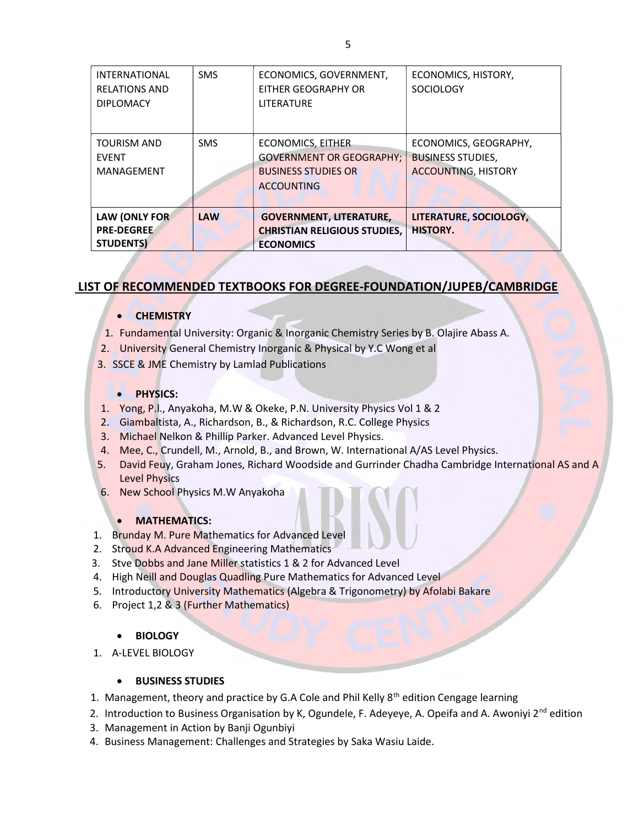| <b>INTERNATIONAL</b><br><b>RELATIONS AND</b><br><b>DIPLOMACY</b> | <b>SMS</b> | ECONOMICS, GOVERNMENT,<br>EITHER GEOGRAPHY OR<br>LITERATURE                                             | ECONOMICS, HISTORY,<br><b>SOCIOLOGY</b>                                         |
|------------------------------------------------------------------|------------|---------------------------------------------------------------------------------------------------------|---------------------------------------------------------------------------------|
| <b>TOURISM AND</b><br><b>EVENT</b><br>MANAGEMENT                 | <b>SMS</b> | ECONOMICS, EITHER<br><b>GOVERNMENT OR GEOGRAPHY:</b><br><b>BUSINESS STUDIES OR</b><br><b>ACCOUNTING</b> | ECONOMICS, GEOGRAPHY,<br><b>BUSINESS STUDIES,</b><br><b>ACCOUNTING, HISTORY</b> |
| <b>LAW (ONLY FOR</b><br><b>PRE-DEGREE</b><br><b>STUDENTS)</b>    | <b>LAW</b> | <b>GOVERNMENT, LITERATURE,</b><br><b>CHRISTIAN RELIGIOUS STUDIES,</b><br><b>ECONOMICS</b>               | LITERATURE, SOCIOLOGY,<br><b>HISTORY.</b>                                       |

## LIST OF RECOMMENDED TEXTBOOKS FOR DEGREE-FOUNDATION/JUPEB/CAMBRIDGE

#### **CHEMISTRY**

- 1. Fundamental University: Organic & Inorganic Chemistry Series by B. Olajire Abass A.
- 2. University General Chemistry Inorganic & Physical by Y.C Wong et al
- 3. SSCE & JME Chemistry by Lamlad Publications

#### **•** PHYSICS:

- 1. Yong, P.l., Anyakoha, M.W & Okeke, P.N. University Physics Vol 1 & 2
- 2. Giambaltista, A., Richardson, B., & Richardson, R.C. College Physics
- 3. Michael Nelkon & Phillip Parker. Advanced Level Physics.
- 4. Mee, C., Crundell, M., Arnold, B., and Brown, W. International A/AS Level Physics.
- 5. David Feuy, Graham Jones, Richard Woodside and Gurrinder Chadha Cambridge International AS and A Level Physics
- 6. New School Physics M.W Anyakoha

#### MATHEMATICS:

- 1. Brunday M. Pure Mathematics for Advanced Level
- 2. Stroud K.A Advanced Engineering Mathematics
- 3. Stve Dobbs and Jane Miller statistics 1 & 2 for Advanced Level
- 4. High Neill and Douglas Quadling Pure Mathematics for Advanced Level
- 5. Introductory University Mathematics (Algebra & Trigonometry) by Afolabi Bakare
- 6. Project 1,2 & 3 (Further Mathematics)

#### **BIOLOGY**

1. A-LEVEL BIOLOGY

#### BUSINESS STUDIES

- 1. Management, theory and practice by G.A Cole and Phil Kelly  $8<sup>th</sup>$  edition Cengage learning
- 2. Introduction to Business Organisation by K, Ogundele, F. Adeyeye, A. Opeifa and A. Awoniyi  $2^{nd}$  edition
- 3. Management in Action by Banji Ogunbiyi
- 4. Business Management: Challenges and Strategies by Saka Wasiu Laide.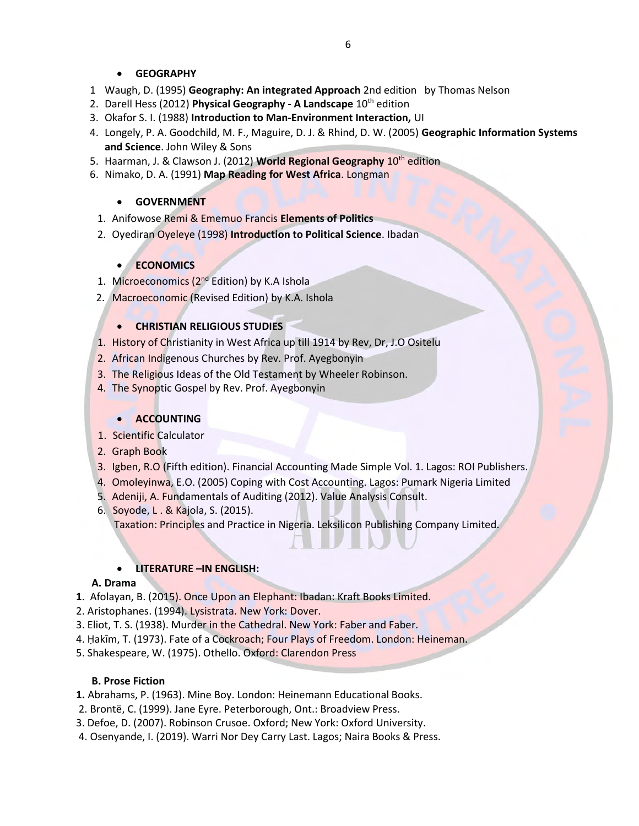#### GEOGRAPHY

- 1 Waugh, D. (1995) Geography: An integrated Approach 2nd edition by Thomas Nelson
- 2. Darell Hess (2012) Physical Geography A Landscape  $10^{th}$  edition
- 3. Okafor S. I. (1988) Introduction to Man-Environment Interaction, UI
- 4. Longely, P. A. Goodchild, M. F., Maguire, D. J. & Rhind, D. W. (2005) Geographic Information Systems and Science. John Wiley & Sons
- 5. Haarman, J. & Clawson J. (2012) World Regional Geography 10<sup>th</sup> edition
- 6. Nimako, D. A. (1991) Map Reading for West Africa. Longman

#### GOVERNMENT

- 1. Anifowose Remi & Ememuo Francis Elements of Politics
- 2. Oyediran Oyeleye (1998) Introduction to Political Science. Ibadan

#### **ECONOMICS**

- 1. Microeconomics (2<sup>nd</sup> Edition) by K.A Ishola
- 2. Macroeconomic (Revised Edition) by K.A. Ishola

#### **• CHRISTIAN RELIGIOUS STUDIES**

- 1. History of Christianity in West Africa up till 1914 by Rev, Dr, J.O Ositelu
- 2. African Indigenous Churches by Rev. Prof. Ayegbonyin
- 3. The Religious Ideas of the Old Testament by Wheeler Robinson.
- 4. The Synoptic Gospel by Rev. Prof. Ayegbonyin

#### **ACCOUNTING**

- 1. Scientific Calculator
- 2. Graph Book
- 3. Igben, R.O (Fifth edition). Financial Accounting Made Simple Vol. 1. Lagos: ROI Publishers.
- 4. Omoleyinwa, E.O. (2005) Coping with Cost Accounting. Lagos: Pumark Nigeria Limited
- 5. Adeniji, A. Fundamentals of Auditing (2012). Value Analysis Consult.
- 6. Soyode, L . & Kajola, S. (2015). Taxation: Principles and Practice in Nigeria. Leksilicon Publishing Company Limited.

#### LITERATURE –IN ENGLISH:

#### A. Drama

- 1. Afolayan, B. (2015). Once Upon an Elephant: Ibadan: Kraft Books Limited.
- 2. Aristophanes. (1994). Lysistrata. New York: Dover.
- 3. Eliot, T. S. (1938). Murder in the Cathedral. New York: Faber and Faber.
- 4. Ḥakīm, T. (1973). Fate of a Cockroach; Four Plays of Freedom. London: Heineman.
- 5. Shakespeare, W. (1975). Othello. Oxford: Clarendon Press

#### B. Prose Fiction

- 1. Abrahams, P. (1963). Mine Boy. London: Heinemann Educational Books.
- 2. Brontë, C. (1999). Jane Eyre. Peterborough, Ont.: Broadview Press.
- 3. Defoe, D. (2007). Robinson Crusoe. Oxford; New York: Oxford University.
- 4. Osenyande, I. (2019). Warri Nor Dey Carry Last. Lagos; Naira Books & Press.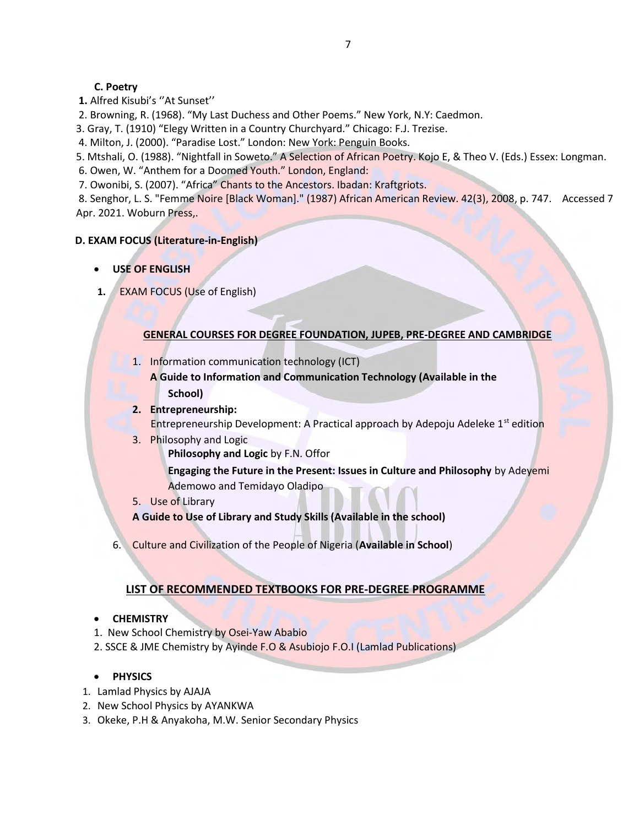#### C. Poetry

- 1. Alfred Kisubi's ''At Sunset''
- 2. Browning, R. (1968). "My Last Duchess and Other Poems." New York, N.Y: Caedmon.
- 3. Gray, T. (1910) "Elegy Written in a Country Churchyard." Chicago: F.J. Trezise.
- 4. Milton, J. (2000). "Paradise Lost." London: New York: Penguin Books.
- 5. Mtshali, O. (1988). "Nightfall in Soweto." A Selection of African Poetry. Kojo E, & Theo V. (Eds.) Essex: Longman.
- 6. Owen, W. "Anthem for a Doomed Youth." London, England:
- 7. Owonibi, S. (2007). "Africa" Chants to the Ancestors. Ibadan: Kraftgriots.

8. Senghor, L. S. "Femme Noire [Black Woman]." (1987) African American Review. 42(3), 2008, p. 747. Accessed 7 Apr. 2021. Woburn Press,.

#### D. EXAM FOCUS (Literature-in-English)

- USE OF ENGLISH
- 1. **EXAM FOCUS (Use of English)**

#### GENERAL COURSES FOR DEGREE FOUNDATION, JUPEB, PRE-DEGREE AND CAMBRIDGE

- 1. Information communication technology (ICT)
	- A Guide to Information and Communication Technology (Available in the School)
- 2. Entrepreneurship: Entrepreneurship Development: A Practical approach by Adepoju Adeleke 1<sup>st</sup> edition
- 3. Philosophy and Logic
	- Philosophy and Logic by F.N. Offor

Engaging the Future in the Present: Issues in Culture and Philosophy by Adeyemi Ademowo and Temidayo Oladipo

5. Use of Library

A Guide to Use of Library and Study Skills (Available in the school)

6. Culture and Civilization of the People of Nigeria (Available in School)

### LIST OF RECOMMENDED TEXTBOOKS FOR PRE-DEGREE PROGRAMME

#### **• CHEMISTRY**

- 1. New School Chemistry by Osei-Yaw Ababio
- 2. SSCE & JME Chemistry by Ayinde F.O & Asubiojo F.O.I (Lamlad Publications)

#### • PHYSICS

- 1. Lamlad Physics by AJAJA
- 2. New School Physics by AYANKWA
- 3. Okeke, P.H & Anyakoha, M.W. Senior Secondary Physics